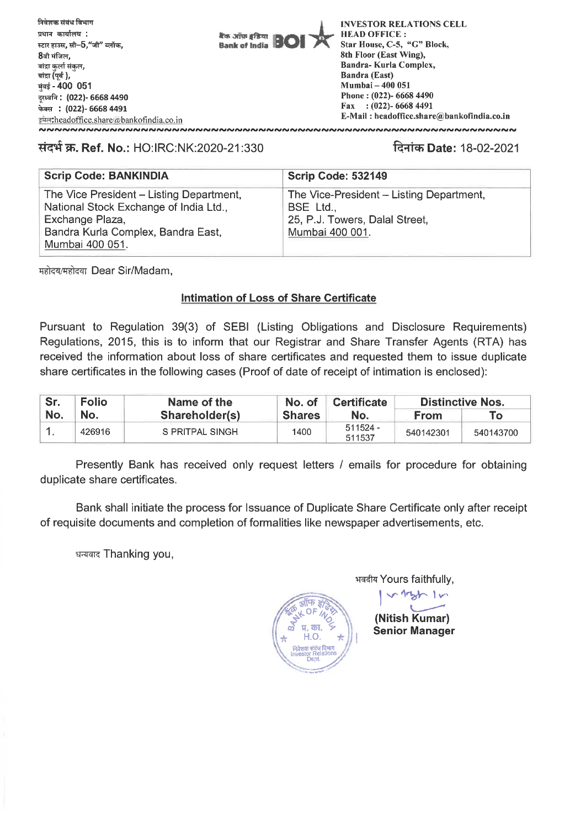

## **TiT47. Ref. No.:** HO: IRC:NK:2020-21:330 -R-41-w **Date:** 18-02-2021

| <b>Scrip Code: BANKINDIA</b>                              | Scrip Code: 532149                          |
|-----------------------------------------------------------|---------------------------------------------|
| The Vice President - Listing Department,                  | The Vice-President - Listing Department,    |
| National Stock Exchange of India Ltd.,<br>Exchange Plaza, | BSE Ltd.,<br>25, P.J. Towers, Dalal Street, |
| Bandra Kurla Complex, Bandra East,                        | Mumbai 400 001.                             |
| Mumbai 400 051.                                           |                                             |

महोदय/महोदया Dear Sir/Madam,

## **Intimation of Loss of Share Certificate**

Pursuant to Regulation 39(3) of SEBI (Listing Obligations and Disclosure Requirements) Regulations, 2015, this is to inform that our Registrar and Share Transfer Agents (RTA) has received the information about loss of share certificates and requested them to issue duplicate

| share certificates in the following cases (Proof of date of receipt of intimation is enclosed): |              |                 |               |                      |                         |           |  |  |  |
|-------------------------------------------------------------------------------------------------|--------------|-----------------|---------------|----------------------|-------------------------|-----------|--|--|--|
| Sr.                                                                                             | <b>Folio</b> | Name of the     | No. of        | <b>Certificate</b>   | <b>Distinctive Nos.</b> |           |  |  |  |
| No.                                                                                             | No.          | Shareholder(s)  | <b>Shares</b> | No.                  | <b>From</b>             | Τo        |  |  |  |
|                                                                                                 | 426916       | S PRITPAL SINGH | 1400          | $511524 -$<br>511537 | 540142301               | 540143700 |  |  |  |

Presently Bank has received only request letters / emails for procedure for obtaining duplicate share certificates.

Bank shall initiate the process for Issuance of Duplicate Share Certificate only after receipt of requisite documents and completion of formalities like newspaper advertisements, etc.

धन्यवाद Thanking you,



<sup>4</sup>T-4-4-4 Yours faithfully, **letafr, <sup>1</sup>v.,** 

**(Nitish Kumar) Senior Manager**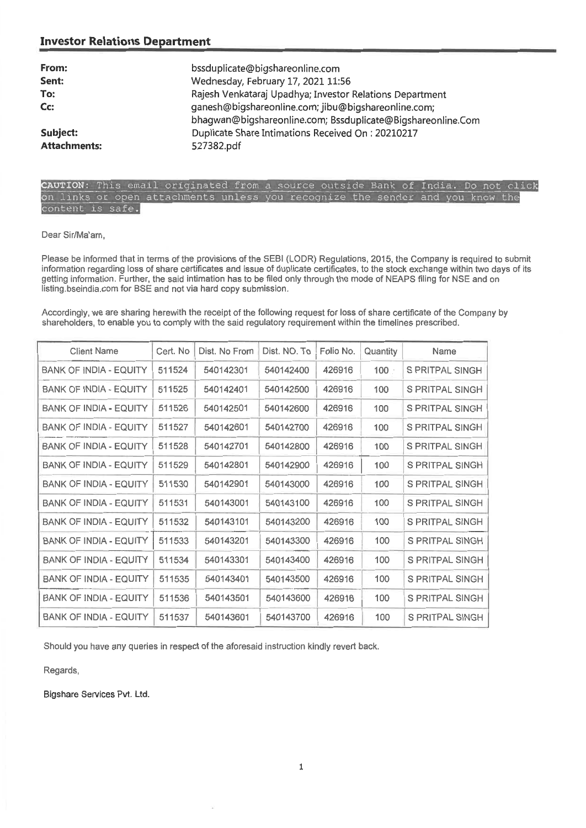### **Investor Relations Department**

| From:<br>Sent:<br>To:<br>Cc:    | bssduplicate@bigshareonline.com<br>Wednesday, February 17, 2021 11:56<br>Rajesh Venkataraj Upadhya; Investor Relations Department<br>ganesh@bigshareonline.com; jibu@bigshareonline.com;<br>bhagwan@bigshareonline.com; Bssduplicate@Bigshareonline.Com |
|---------------------------------|---------------------------------------------------------------------------------------------------------------------------------------------------------------------------------------------------------------------------------------------------------|
| Subject:<br><b>Attachments:</b> | Duplicate Share Intimations Received On: 20210217<br>527382.pdf                                                                                                                                                                                         |
|                                 |                                                                                                                                                                                                                                                         |

## CAUTION: This email originated from a source outside Bank of India. Do not click on links or open attachments unless you recognize the sender and you know the<br>content is safe.

#### Dear Sir/Ma'am,

Please be informed **that in terms of the provisions of the SEBI (LODR) Regulations, 2015, the Company is required to submit**  information regarding loss of share certificates and issue of duplicate certificates, to the stock exchange within two days of its getting information. Further, the said intimation has to be filed only through the mode of NEAPS filing for NSE and on listing.bseindia.com for BSE and not via hard copy submission.

Accordingly, we are sharing herewith the receipt of the following request for loss of share certificate of the Company by shareholders, to enable you to comply with the said regulatory requirement within the timelines prescribed.

| <b>Client Name</b>            | Cert. No | Dist. No From | Dist. NO. To | Folio No. | Quantity    | Name                   |
|-------------------------------|----------|---------------|--------------|-----------|-------------|------------------------|
| <b>BANK OF INDIA - EQUITY</b> | 511524   | 540142301     | 540142400    | 426916    | $100 \cdot$ | S PRITPAL SINGH        |
| <b>BANK OF INDIA - EQUITY</b> | 511525   | 540142401     | 540142500    | 426916    | 100         | S PRITPAL SINGH        |
| <b>BANK OF INDIA - EQUITY</b> | 511526   | 540142501     | 540142600    | 426916    | 100         | S PRITPAL SINGH        |
| <b>BANK OF INDIA - EQUITY</b> | 511527   | 540142601     | 540142700    | 426916    | 100         | S PRITPAL SINGH        |
| BANK OF INDIA - EQUITY        | 511528   | 540142701     | 540142800    | 426916    | 100         | S PRITPAL SINGH        |
| <b>BANK OF INDIA - EQUITY</b> | 511529   | 540142801     | 540142900    | 426916    | 100         | <b>S PRITPAL SINGH</b> |
| BANK OF INDIA - EQUITY        | 511530   | 540142901     | 540143000    | 426916    | 100         | S PRITPAL SINGH        |
| BANK OF INDIA - EQUITY        | 511531   | 540143001     | 540143100    | 426916    | 100         | S PRITPAL SINGH        |
| <b>BANK OF INDIA - EQUITY</b> | 511532   | 540143101     | 540143200    | 426916    | 100         | S PRITPAL SINGH        |
| <b>BANK OF INDIA - EQUITY</b> | 511533   | 540143201     | 540143300    | 426916    | 100         | S PRITPAL SINGH        |
| <b>BANK OF INDIA - EQUITY</b> | 511534   | 540143301     | 540143400    | 426916    | 100         | S PRITPAL SINGH        |
| <b>BANK OF INDIA - EQUITY</b> | 511535   | 540143401     | 540143500    | 426916    | 100         | S PRITPAL SINGH        |
| <b>BANK OF INDIA - EQUITY</b> | 511536   | 540143501     | 540143600    | 426916    | 100         | S PRITPAL SINGH        |
| <b>BANK OF INDIA - EQUITY</b> | 511537   | 540143601     | 540143700    | 426916    | 100         | S PRITPAL SINGH        |

**Should you have any queries in respect of the aforesaid instruction kindly revert back.** 

Regards,

Bigshare Services Pvt. Ltd.